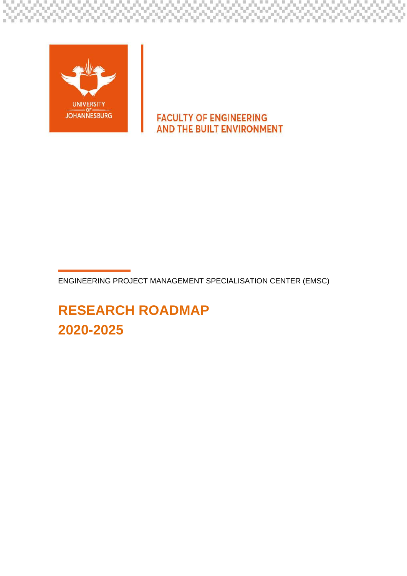

# **FACULTY OF ENGINEERING AND THE BUILT ENVIRONMENT**

ENGINEERING PROJECT MANAGEMENT SPECIALISATION CENTER (EMSC)

**RESEARCH ROADMAP 2020-2025**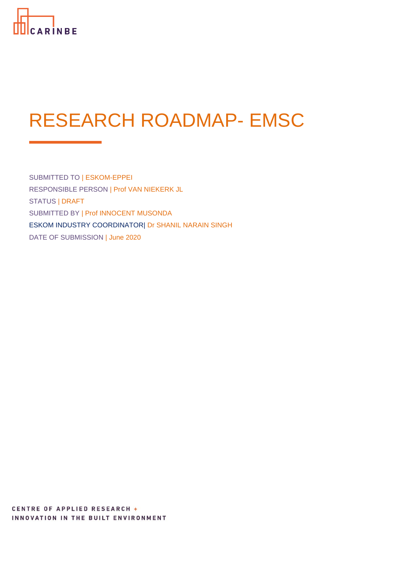

# RESEARCH ROADMAP- EMSC

SUBMITTED TO | ESKOM-EPPEI RESPONSIBLE PERSON | Prof VAN NIEKERK JL STATUS | DRAFT SUBMITTED BY | Prof INNOCENT MUSONDA ESKOM INDUSTRY COORDINATOR| Dr SHANIL NARAIN SINGH DATE OF SUBMISSION | June 2020

CENTRE OF APPLIED RESEARCH + INNOVATION IN THE BUILT ENVIRONMENT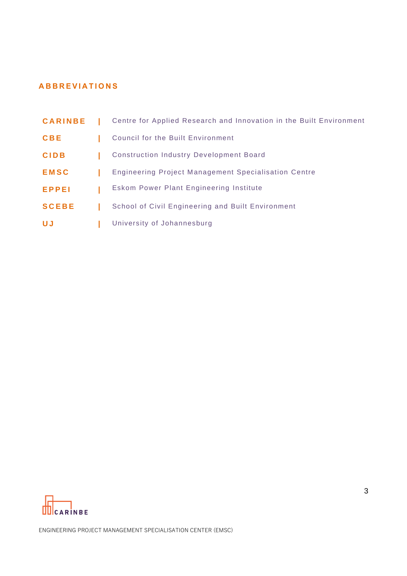## <span id="page-2-0"></span>**A B B R E V I A T I O N S**

| <b>CARINBE</b> | Centre for Applied Research and Innovation in the Built Environment |
|----------------|---------------------------------------------------------------------|
| <b>CBE</b>     | <b>Council for the Built Environment</b>                            |
| <b>CIDB</b>    | <b>Construction Industry Development Board</b>                      |
| <b>EMSC</b>    | <b>Engineering Project Management Specialisation Centre</b>         |
| <b>EPPEI</b>   | Eskom Power Plant Engineering Institute                             |
| <b>SCEBE</b>   | School of Civil Engineering and Built Environment                   |
| UJ             | University of Johannesburg                                          |
|                |                                                                     |

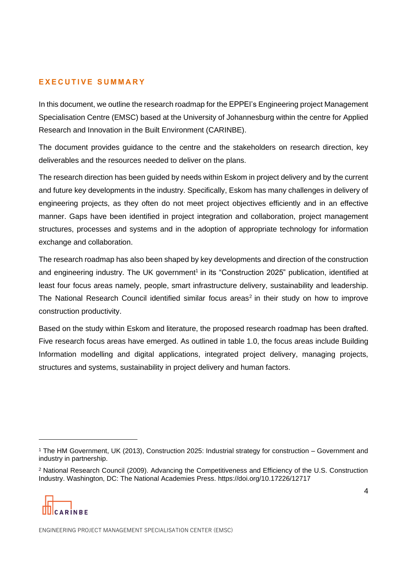## <span id="page-3-0"></span>**E X E C U T I V E S U M M A R Y**

In this document, we outline the research roadmap for the EPPEI's Engineering project Management Specialisation Centre (EMSC) based at the University of Johannesburg within the centre for Applied Research and Innovation in the Built Environment (CARINBE).

The document provides guidance to the centre and the stakeholders on research direction, key deliverables and the resources needed to deliver on the plans.

The research direction has been guided by needs within Eskom in project delivery and by the current and future key developments in the industry. Specifically, Eskom has many challenges in delivery of engineering projects, as they often do not meet project objectives efficiently and in an effective manner. Gaps have been identified in project integration and collaboration, project management structures, processes and systems and in the adoption of appropriate technology for information exchange and collaboration.

The research roadmap has also been shaped by key developments and direction of the construction and engineering industry. The UK government<sup>1</sup> in its "Construction 2025" publication, identified at least four focus areas namely, people, smart infrastructure delivery, sustainability and leadership. The National Research Council identified similar focus areas<sup>2</sup> in their study on how to improve construction productivity.

Based on the study within Eskom and literature, the proposed research roadmap has been drafted. Five research focus areas have emerged. As outlined in table 1.0, the focus areas include Building Information modelling and digital applications, integrated project delivery, managing projects, structures and systems, sustainability in project delivery and human factors.

<sup>2</sup> National Research Council (2009). Advancing the Competitiveness and Efficiency of the U.S. Construction Industry. Washington, DC: The National Academies Press. https://doi.org/10.17226/12717



<sup>1</sup> The HM Government, UK (2013), Construction 2025: Industrial strategy for construction – Government and industry in partnership.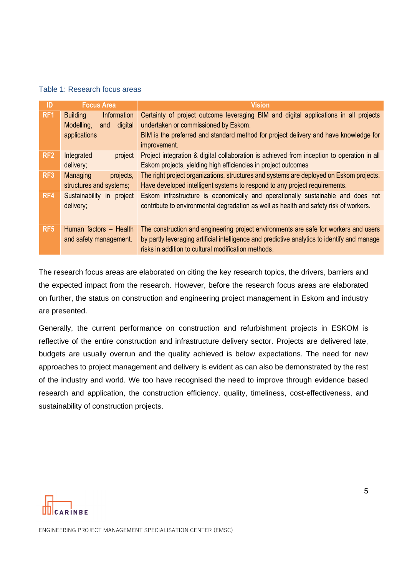#### <span id="page-4-0"></span>Table 1: Research focus areas

| ID              | <b>Focus Area</b>                                                                     | <b>Vision</b>                                                                                                                                                                                                                               |
|-----------------|---------------------------------------------------------------------------------------|---------------------------------------------------------------------------------------------------------------------------------------------------------------------------------------------------------------------------------------------|
| RF <sub>1</sub> | <b>Building</b><br><b>Information</b><br>Modelling,<br>digital<br>and<br>applications | Certainty of project outcome leveraging BIM and digital applications in all projects<br>undertaken or commissioned by Eskom.<br>BIM is the preferred and standard method for project delivery and have knowledge for<br>improvement.        |
| RF <sub>2</sub> | Integrated<br>project<br>delivery;                                                    | Project integration & digital collaboration is achieved from inception to operation in all<br>Eskom projects, yielding high efficiencies in project outcomes                                                                                |
| RF <sub>3</sub> | Managing<br>projects,<br>structures and systems;                                      | The right project organizations, structures and systems are deployed on Eskom projects.<br>Have developed intelligent systems to respond to any project requirements.                                                                       |
| RF4             | Sustainability in<br>project<br>delivery;                                             | Eskom infrastructure is economically and operationally sustainable and does not<br>contribute to environmental degradation as well as health and safety risk of workers.                                                                    |
| RF <sub>5</sub> | Human factors - Health<br>and safety management.                                      | The construction and engineering project environments are safe for workers and users<br>by partly leveraging artificial intelligence and predictive analytics to identify and manage<br>risks in addition to cultural modification methods. |

The research focus areas are elaborated on citing the key research topics, the drivers, barriers and the expected impact from the research. However, before the research focus areas are elaborated on further, the status on construction and engineering project management in Eskom and industry are presented.

Generally, the current performance on construction and refurbishment projects in ESKOM is reflective of the entire construction and infrastructure delivery sector. Projects are delivered late, budgets are usually overrun and the quality achieved is below expectations. The need for new approaches to project management and delivery is evident as can also be demonstrated by the rest of the industry and world. We too have recognised the need to improve through evidence based research and application, the construction efficiency, quality, timeliness, cost-effectiveness, and sustainability of construction projects.

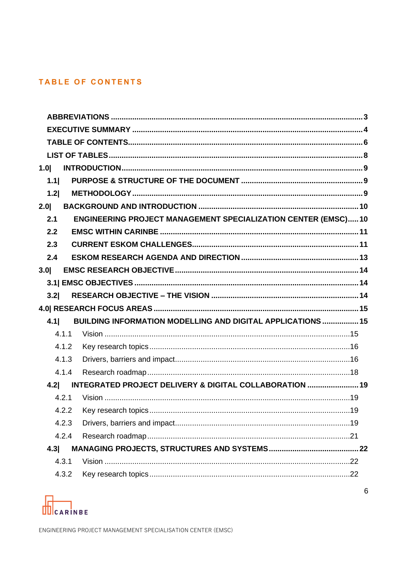# <span id="page-5-0"></span>**TABLE OF CONTENTS**

| 1.0              |       |                                                                    |  |
|------------------|-------|--------------------------------------------------------------------|--|
| 1.1              |       |                                                                    |  |
| 1.2              |       |                                                                    |  |
| 2.0 <sub>l</sub> |       |                                                                    |  |
| 2.1              |       | ENGINEERING PROJECT MANAGEMENT SPECIALIZATION CENTER (EMSC)10      |  |
| 2.2              |       |                                                                    |  |
| 2.3              |       |                                                                    |  |
| 2.4              |       |                                                                    |  |
| 3.0              |       |                                                                    |  |
|                  |       |                                                                    |  |
| 3.2              |       |                                                                    |  |
|                  |       |                                                                    |  |
| 4.1              |       | <b>BUILDING INFORMATION MODELLING AND DIGITAL APPLICATIONS  15</b> |  |
|                  | 4.1.1 |                                                                    |  |
|                  | 4.1.2 |                                                                    |  |
|                  | 4.1.3 |                                                                    |  |
|                  | 4.1.4 |                                                                    |  |
| 4.2              |       | INTEGRATED PROJECT DELIVERY & DIGITAL COLLABORATION  19            |  |
|                  | 4.2.1 |                                                                    |  |
|                  | 4.2.2 |                                                                    |  |
|                  | 4.2.3 |                                                                    |  |
|                  | 4.2.4 |                                                                    |  |
| 4.3              |       |                                                                    |  |
|                  | 4.3.1 |                                                                    |  |
|                  | 4.3.2 |                                                                    |  |
|                  |       |                                                                    |  |

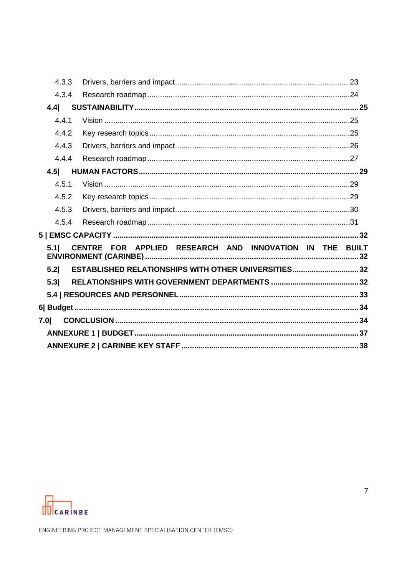| 4.3.3 |                                                         |  |
|-------|---------------------------------------------------------|--|
| 4.3.4 |                                                         |  |
| 4.4   |                                                         |  |
| 4.4.1 |                                                         |  |
| 4.4.2 |                                                         |  |
| 4.4.3 |                                                         |  |
| 4.4.4 |                                                         |  |
| 4.5   |                                                         |  |
| 4.5.1 |                                                         |  |
| 4.5.2 |                                                         |  |
| 4.5.3 |                                                         |  |
|       |                                                         |  |
| 4.5.4 |                                                         |  |
|       |                                                         |  |
| 5.1   | CENTRE FOR APPLIED RESEARCH AND INNOVATION IN THE BUILT |  |
| 5.2   | ESTABLISHED RELATIONSHIPS WITH OTHER UNIVERSITIES32     |  |
| 5.3   |                                                         |  |
|       |                                                         |  |
|       |                                                         |  |
| 7.01  |                                                         |  |
|       |                                                         |  |
|       |                                                         |  |



 $\overline{7}$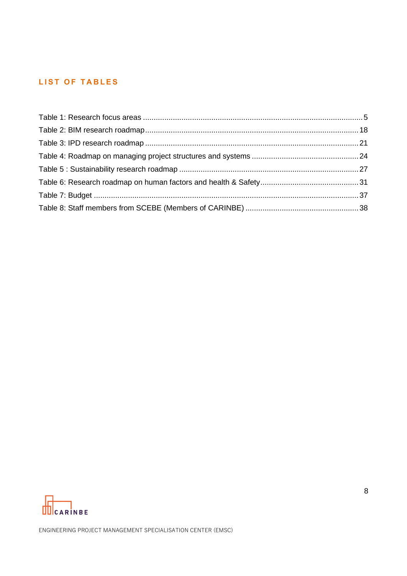# <span id="page-7-0"></span>**LIST OF TABLES**

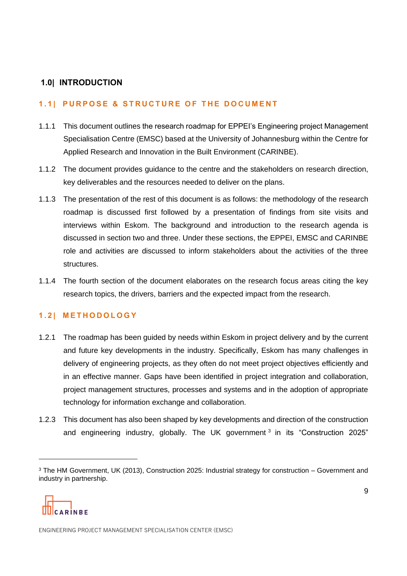## <span id="page-8-0"></span>**1.0| INTRODUCTION**

## <span id="page-8-1"></span>**1.1| PURPOSE & STRUCTURE OF THE DOCUMENT**

- 1.1.1 This document outlines the research roadmap for EPPEI's Engineering project Management Specialisation Centre (EMSC) based at the University of Johannesburg within the Centre for Applied Research and Innovation in the Built Environment (CARINBE).
- 1.1.2 The document provides guidance to the centre and the stakeholders on research direction, key deliverables and the resources needed to deliver on the plans.
- 1.1.3 The presentation of the rest of this document is as follows: the methodology of the research roadmap is discussed first followed by a presentation of findings from site visits and interviews within Eskom. The background and introduction to the research agenda is discussed in section two and three. Under these sections, the EPPEI, EMSC and CARINBE role and activities are discussed to inform stakeholders about the activities of the three structures.
- 1.1.4 The fourth section of the document elaborates on the research focus areas citing the key research topics, the drivers, barriers and the expected impact from the research.

## <span id="page-8-2"></span>**1 . 2 | M E T H O D O L O G Y**

- 1.2.1 The roadmap has been guided by needs within Eskom in project delivery and by the current and future key developments in the industry. Specifically, Eskom has many challenges in delivery of engineering projects, as they often do not meet project objectives efficiently and in an effective manner. Gaps have been identified in project integration and collaboration, project management structures, processes and systems and in the adoption of appropriate technology for information exchange and collaboration.
- 1.2.3 This document has also been shaped by key developments and direction of the construction and engineering industry, globally. The UK government<sup>3</sup> in its "Construction 2025"

<sup>3</sup> The HM Government, UK (2013), Construction 2025: Industrial strategy for construction – Government and industry in partnership.

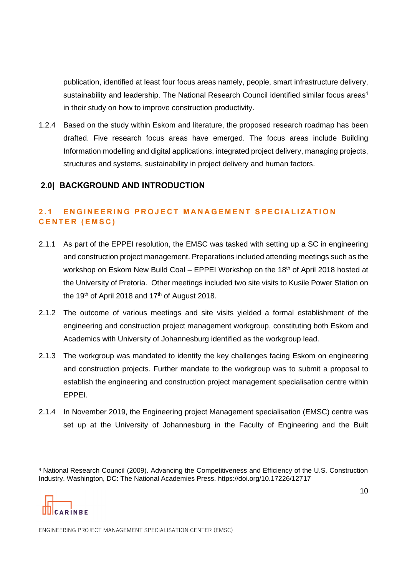publication, identified at least four focus areas namely, people, smart infrastructure delivery, sustainability and leadership. The National Research Council identified similar focus areas<sup>4</sup> in their study on how to improve construction productivity.

1.2.4 Based on the study within Eskom and literature, the proposed research roadmap has been drafted. Five research focus areas have emerged. The focus areas include Building Information modelling and digital applications, integrated project delivery, managing projects, structures and systems, sustainability in project delivery and human factors.

## <span id="page-9-0"></span>**2.0| BACKGROUND AND INTRODUCTION**

## <span id="page-9-1"></span>**2.1 ENGINEERING PROJECT MANAGEMENT SPECIALIZATION C E N T E R ( E M S C )**

- 2.1.1 As part of the EPPEI resolution, the EMSC was tasked with setting up a SC in engineering and construction project management. Preparations included attending meetings such as the workshop on Eskom New Build Coal – EPPEI Workshop on the 18<sup>th</sup> of April 2018 hosted at the University of Pretoria. Other meetings included two site visits to Kusile Power Station on the 19<sup>th</sup> of April 2018 and 17<sup>th</sup> of August 2018.
- 2.1.2 The outcome of various meetings and site visits yielded a formal establishment of the engineering and construction project management workgroup, constituting both Eskom and Academics with University of Johannesburg identified as the workgroup lead.
- 2.1.3 The workgroup was mandated to identify the key challenges facing Eskom on engineering and construction projects. Further mandate to the workgroup was to submit a proposal to establish the engineering and construction project management specialisation centre within EPPEI.
- 2.1.4 In November 2019, the Engineering project Management specialisation (EMSC) centre was set up at the University of Johannesburg in the Faculty of Engineering and the Built

<sup>4</sup> National Research Council (2009). Advancing the Competitiveness and Efficiency of the U.S. Construction Industry. Washington, DC: The National Academies Press. https://doi.org/10.17226/12717

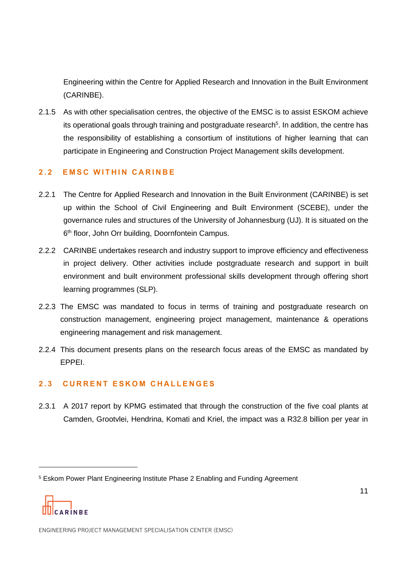Engineering within the Centre for Applied Research and Innovation in the Built Environment (CARINBE).

2.1.5 As with other specialisation centres, the objective of the EMSC is to assist ESKOM achieve its operational goals through training and postgraduate research<sup>5</sup>. In addition, the centre has the responsibility of establishing a consortium of institutions of higher learning that can participate in Engineering and Construction Project Management skills development.

#### <span id="page-10-0"></span>**2.2 EMSC WITHIN CARINBE**

- 2.2.1 The Centre for Applied Research and Innovation in the Built Environment (CARINBE) is set up within the School of Civil Engineering and Built Environment (SCEBE), under the governance rules and structures of the University of Johannesburg (UJ). It is situated on the 6 th floor, John Orr building, Doornfontein Campus.
- 2.2.2 CARINBE undertakes research and industry support to improve efficiency and effectiveness in project delivery. Other activities include postgraduate research and support in built environment and built environment professional skills development through offering short learning programmes (SLP).
- 2.2.3 The EMSC was mandated to focus in terms of training and postgraduate research on construction management, engineering project management, maintenance & operations engineering management and risk management.
- 2.2.4 This document presents plans on the research focus areas of the EMSC as mandated by EPPEI.

## <span id="page-10-1"></span>**2 . 3 C U R R E N T E S K O M C H A L L E N G E S**

2.3.1 A 2017 report by KPMG estimated that through the construction of the five coal plants at Camden, Grootvlei, Hendrina, Komati and Kriel, the impact was a R32.8 billion per year in



<sup>5</sup> Eskom Power Plant Engineering Institute Phase 2 Enabling and Funding Agreement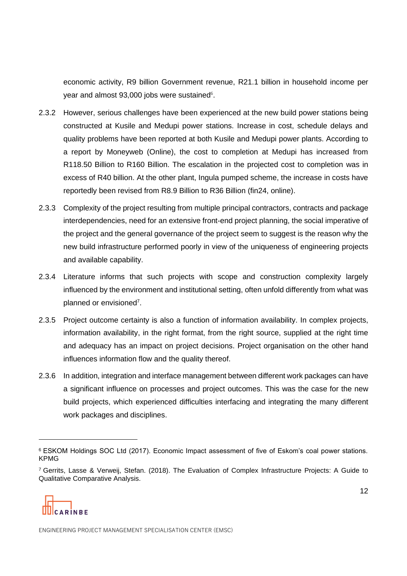economic activity, R9 billion Government revenue, R21.1 billion in household income per year and almost 93,000 jobs were sustained $^{\circ}$ .

- 2.3.2 However, serious challenges have been experienced at the new build power stations being constructed at Kusile and Medupi power stations. Increase in cost, schedule delays and quality problems have been reported at both Kusile and Medupi power plants. According to a report by Moneyweb (Online), the cost to completion at Medupi has increased from R118.50 Billion to R160 Billion. The escalation in the projected cost to completion was in excess of R40 billion. At the other plant, Ingula pumped scheme, the increase in costs have reportedly been revised from R8.9 Billion to R36 Billion (fin24, online).
- 2.3.3 Complexity of the project resulting from multiple principal contractors, contracts and package interdependencies, need for an extensive front-end project planning, the social imperative of the project and the general governance of the project seem to suggest is the reason why the new build infrastructure performed poorly in view of the uniqueness of engineering projects and available capability.
- 2.3.4 Literature informs that such projects with scope and construction complexity largely influenced by the environment and institutional setting, often unfold differently from what was planned or envisioned<sup>7</sup>.
- 2.3.5 Project outcome certainty is also a function of information availability. In complex projects, information availability, in the right format, from the right source, supplied at the right time and adequacy has an impact on project decisions. Project organisation on the other hand influences information flow and the quality thereof.
- 2.3.6 In addition, integration and interface management between different work packages can have a significant influence on processes and project outcomes. This was the case for the new build projects, which experienced difficulties interfacing and integrating the many different work packages and disciplines.

<sup>7</sup> Gerrits, Lasse & Verweij, Stefan. (2018). The Evaluation of Complex Infrastructure Projects: A Guide to Qualitative Comparative Analysis.



<sup>6</sup> ESKOM Holdings SOC Ltd (2017). Economic Impact assessment of five of Eskom's coal power stations. KPMG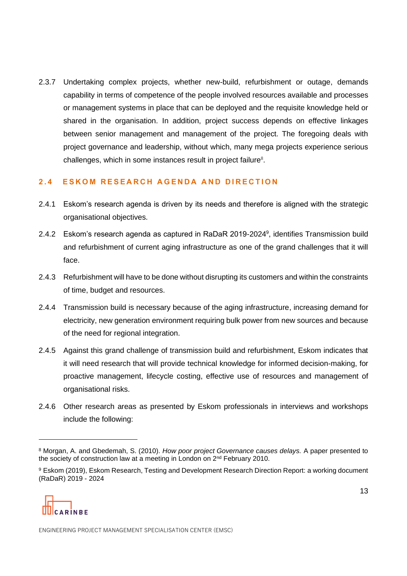2.3.7 Undertaking complex projects, whether new-build, refurbishment or outage, demands capability in terms of competence of the people involved resources available and processes or management systems in place that can be deployed and the requisite knowledge held or shared in the organisation. In addition, project success depends on effective linkages between senior management and management of the project. The foregoing deals with project governance and leadership, without which, many mega projects experience serious challenges, which in some instances result in project failure $^{\text{\tiny 8}}$ .

## <span id="page-12-0"></span>**2.4 ESKOM RESEARCH AGENDA AND DIRECTION**

- 2.4.1 Eskom's research agenda is driven by its needs and therefore is aligned with the strategic organisational objectives.
- 2.4.2 Eskom's research agenda as captured in RaDaR 2019-2024<sup>9</sup>, identifies Transmission build and refurbishment of current aging infrastructure as one of the grand challenges that it will face.
- 2.4.3 Refurbishment will have to be done without disrupting its customers and within the constraints of time, budget and resources.
- 2.4.4 Transmission build is necessary because of the aging infrastructure, increasing demand for electricity, new generation environment requiring bulk power from new sources and because of the need for regional integration.
- 2.4.5 Against this grand challenge of transmission build and refurbishment, Eskom indicates that it will need research that will provide technical knowledge for informed decision-making, for proactive management, lifecycle costing, effective use of resources and management of organisational risks.
- 2.4.6 Other research areas as presented by Eskom professionals in interviews and workshops include the following:

<sup>9</sup> Eskom (2019), Eskom Research, Testing and Development Research Direction Report: a working document (RaDaR) 2019 - 2024



<sup>8</sup> Morgan, A. and Gbedemah, S. (2010). *How poor project Governance causes delays.* A paper presented to the society of construction law at a meeting in London on  $2<sup>nd</sup>$  February 2010.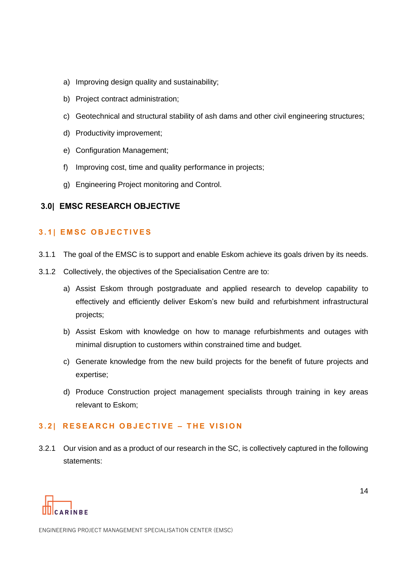- a) Improving design quality and sustainability;
- b) Project contract administration;
- c) Geotechnical and structural stability of ash dams and other civil engineering structures;
- d) Productivity improvement;
- e) Configuration Management;
- f) Improving cost, time and quality performance in projects;
- g) Engineering Project monitoring and Control.

## <span id="page-13-0"></span>**3.0| EMSC RESEARCH OBJECTIVE**

## <span id="page-13-1"></span>**3 . 1 | E M S C O B J E C T I V E S**

- 3.1.1 The goal of the EMSC is to support and enable Eskom achieve its goals driven by its needs.
- 3.1.2 Collectively, the objectives of the Specialisation Centre are to:
	- a) Assist Eskom through postgraduate and applied research to develop capability to effectively and efficiently deliver Eskom's new build and refurbishment infrastructural projects;
	- b) Assist Eskom with knowledge on how to manage refurbishments and outages with minimal disruption to customers within constrained time and budget.
	- c) Generate knowledge from the new build projects for the benefit of future projects and expertise;
	- d) Produce Construction project management specialists through training in key areas relevant to Eskom;

## <span id="page-13-2"></span>**3 . 2 | R E S E A R C H O B J E C T I V E – T H E V I S I O N**

3.2.1 Our vision and as a product of our research in the SC, is collectively captured in the following statements:

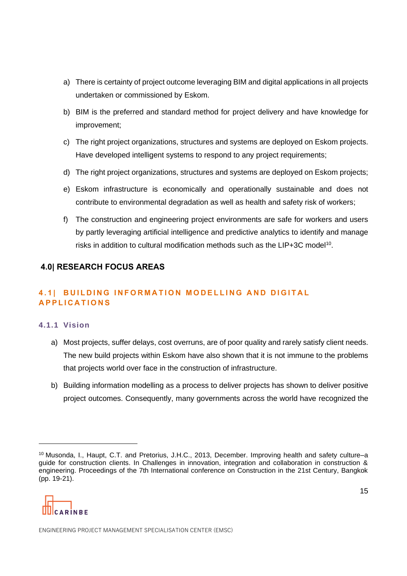- a) There is certainty of project outcome leveraging BIM and digital applications in all projects undertaken or commissioned by Eskom.
- b) BIM is the preferred and standard method for project delivery and have knowledge for improvement;
- c) The right project organizations, structures and systems are deployed on Eskom projects. Have developed intelligent systems to respond to any project requirements;
- d) The right project organizations, structures and systems are deployed on Eskom projects;
- e) Eskom infrastructure is economically and operationally sustainable and does not contribute to environmental degradation as well as health and safety risk of workers;
- f) The construction and engineering project environments are safe for workers and users by partly leveraging artificial intelligence and predictive analytics to identify and manage risks in addition to cultural modification methods such as the LIP+3C model<sup>10</sup>.

## <span id="page-14-0"></span>**4.0| RESEARCH FOCUS AREAS**

## <span id="page-14-1"></span>**4 . 1 | B U I L D I N G I N F O R M A T I O N M O D E L L I N G A N D D I G I T A L A P P L I C A T I O N S**

## <span id="page-14-2"></span>**4.1.1 Vision**

- a) Most projects, suffer delays, cost overruns, are of poor quality and rarely satisfy client needs. The new build projects within Eskom have also shown that it is not immune to the problems that projects world over face in the construction of infrastructure.
- b) Building information modelling as a process to deliver projects has shown to deliver positive project outcomes. Consequently, many governments across the world have recognized the

<sup>10</sup> Musonda, I., Haupt, C.T. and Pretorius, J.H.C., 2013, December. Improving health and safety culture–a guide for construction clients. In Challenges in innovation, integration and collaboration in construction & engineering. Proceedings of the 7th International conference on Construction in the 21st Century, Bangkok (pp. 19-21).

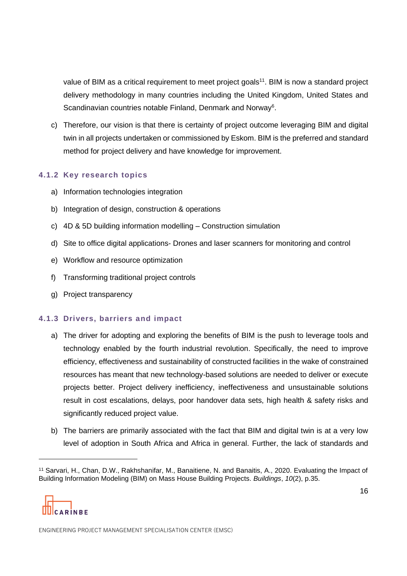value of BIM as a critical requirement to meet project goals<sup>11</sup>. BIM is now a standard project delivery methodology in many countries including the United Kingdom, United States and Scandinavian countries notable Finland, Denmark and Norway<sup>6</sup>.

c) Therefore, our vision is that there is certainty of project outcome leveraging BIM and digital twin in all projects undertaken or commissioned by Eskom. BIM is the preferred and standard method for project delivery and have knowledge for improvement.

## <span id="page-15-0"></span>**4.1.2 Key research topics**

- a) Information technologies integration
- b) Integration of design, construction & operations
- c) 4D & 5D building information modelling Construction simulation
- d) Site to office digital applications- Drones and laser scanners for monitoring and control
- e) Workflow and resource optimization
- f) Transforming traditional project controls
- g) Project transparency

## <span id="page-15-1"></span>**4.1.3 Drivers, barriers and impact**

- a) The driver for adopting and exploring the benefits of BIM is the push to leverage tools and technology enabled by the fourth industrial revolution. Specifically, the need to improve efficiency, effectiveness and sustainability of constructed facilities in the wake of constrained resources has meant that new technology-based solutions are needed to deliver or execute projects better. Project delivery inefficiency, ineffectiveness and unsustainable solutions result in cost escalations, delays, poor handover data sets, high health & safety risks and significantly reduced project value.
- b) The barriers are primarily associated with the fact that BIM and digital twin is at a very low level of adoption in South Africa and Africa in general. Further, the lack of standards and

<sup>11</sup> Sarvari, H., Chan, D.W., Rakhshanifar, M., Banaitiene, N. and Banaitis, A., 2020. Evaluating the Impact of Building Information Modeling (BIM) on Mass House Building Projects. *Buildings*, *10*(2), p.35.

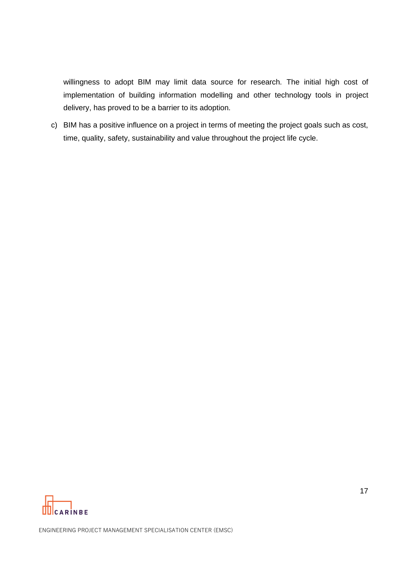willingness to adopt BIM may limit data source for research. The initial high cost of implementation of building information modelling and other technology tools in project delivery, has proved to be a barrier to its adoption.

c) BIM has a positive influence on a project in terms of meeting the project goals such as cost, time, quality, safety, sustainability and value throughout the project life cycle.

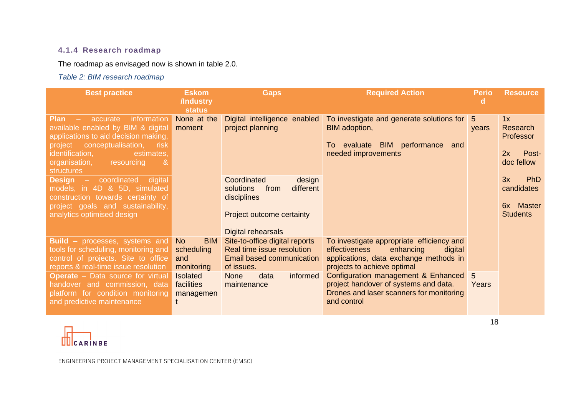## **4.1.4 Research roadmap**

## The roadmap as envisaged now is shown in table 2.0.

## *Table 2: BIM research roadmap*

| <b>Best practice</b>                                                                                                                                                                                                                                                                                                                                   | <b>Eskom</b><br><b>/Industry</b><br><b>status</b>    | <b>Gaps</b>                                                                                                                      | <b>Required Action</b>                                                                                                                                      | <b>Perio</b><br>O | <b>Resource</b>                                          |
|--------------------------------------------------------------------------------------------------------------------------------------------------------------------------------------------------------------------------------------------------------------------------------------------------------------------------------------------------------|------------------------------------------------------|----------------------------------------------------------------------------------------------------------------------------------|-------------------------------------------------------------------------------------------------------------------------------------------------------------|-------------------|----------------------------------------------------------|
| information<br><b>Plan</b><br>accurate<br>available enabled by BIM & digital<br>applications to aid decision making,<br>conceptualisation,<br>project<br>risk<br>identification,<br>estimates,<br>organisation,<br><b>Exercise Service Service Service Service Service Service Service Service Service Service Service S</b><br>&<br><b>structures</b> | None at the<br>moment                                | Digital intelligence enabled<br>project planning                                                                                 | To investigate and generate solutions for<br>BIM adoption,<br>To evaluate BIM performance<br>and<br>needed improvements                                     | 5<br>years        | 1x<br>Research<br>Professor<br>Post-<br>2x<br>doc fellow |
| coordinated<br>digital<br><b>Design</b> $-$<br>models, in 4D & 5D, simulated<br>construction towards certainty of<br>project goals and sustainability,<br>analytics optimised design                                                                                                                                                                   |                                                      | Coordinated<br>design<br>different<br>solutions<br>from<br>disciplines<br>Project outcome certainty<br><b>Digital rehearsals</b> |                                                                                                                                                             |                   | PhD<br>3x<br>candidates<br>6x Master<br><b>Students</b>  |
| <b>Build - processes, systems and</b><br>tools for scheduling, monitoring and<br>control of projects. Site to office<br>reports & real-time issue resolution                                                                                                                                                                                           | <b>BIM</b><br>No.<br>scheduling<br>and<br>monitoring | Site-to-office digital reports<br>Real time issue resolution<br>Email based communication<br>of issues.                          | To investigate appropriate efficiency and<br>effectiveness<br>enhancing<br>digital<br>applications, data exchange methods in<br>projects to achieve optimal |                   |                                                          |
| <b>Operate</b> - Data source for virtual<br>handover and commission, data<br>platform for condition monitoring<br>and predictive maintenance                                                                                                                                                                                                           | <b>Isolated</b><br>facilities<br>managemen           | informed<br><b>None</b><br>data<br>maintenance                                                                                   | Configuration management & Enhanced<br>project handover of systems and data.<br>Drones and laser scanners for monitoring<br>and control                     | 5<br>Years        |                                                          |

<span id="page-17-1"></span><span id="page-17-0"></span>

18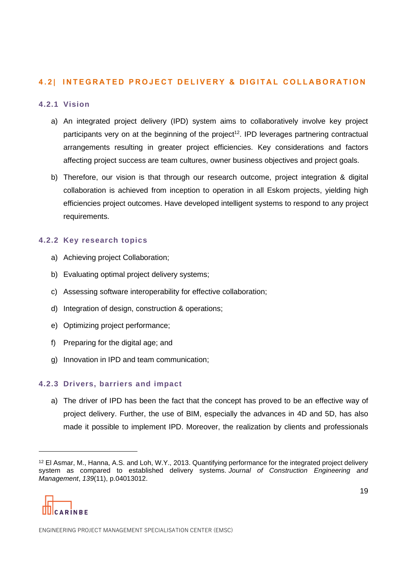## <span id="page-18-0"></span>**4 . 2 | I N T E G R A T E D P R O J E C T D E L I V E R Y & D I G I T A L C O L L A B O R A T I O N**

#### <span id="page-18-1"></span>**4.2.1 Vision**

- a) An integrated project delivery (IPD) system aims to collaboratively involve key project participants very on at the beginning of the project<sup>12</sup>. IPD leverages partnering contractual arrangements resulting in greater project efficiencies. Key considerations and factors affecting project success are team cultures, owner business objectives and project goals.
- b) Therefore, our vision is that through our research outcome, project integration & digital collaboration is achieved from inception to operation in all Eskom projects, yielding high efficiencies project outcomes. Have developed intelligent systems to respond to any project requirements.

#### <span id="page-18-2"></span>**4.2.2 Key research topics**

- a) Achieving project Collaboration;
- b) Evaluating optimal project delivery systems;
- c) Assessing software interoperability for effective collaboration;
- d) Integration of design, construction & operations;
- e) Optimizing project performance;
- f) Preparing for the digital age; and
- g) Innovation in IPD and team communication;

## <span id="page-18-3"></span>**4.2.3 Drivers, barriers and impact**

a) The driver of IPD has been the fact that the concept has proved to be an effective way of project delivery. Further, the use of BIM, especially the advances in 4D and 5D, has also made it possible to implement IPD. Moreover, the realization by clients and professionals

<sup>12</sup> El Asmar, M., Hanna, A.S. and Loh, W.Y., 2013. Quantifying performance for the integrated project delivery system as compared to established delivery systems. *Journal of Construction Engineering and Management*, *139*(11), p.04013012.

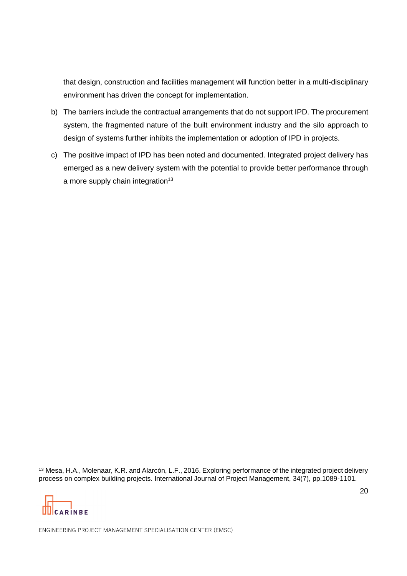that design, construction and facilities management will function better in a multi-disciplinary environment has driven the concept for implementation.

- b) The barriers include the contractual arrangements that do not support IPD. The procurement system, the fragmented nature of the built environment industry and the silo approach to design of systems further inhibits the implementation or adoption of IPD in projects.
- c) The positive impact of IPD has been noted and documented. Integrated project delivery has emerged as a new delivery system with the potential to provide better performance through a more supply chain integration $13$

<sup>13</sup> Mesa, H.A., Molenaar, K.R. and Alarcón, L.F., 2016. Exploring performance of the integrated project delivery process on complex building projects. International Journal of Project Management, 34(7), pp.1089-1101.

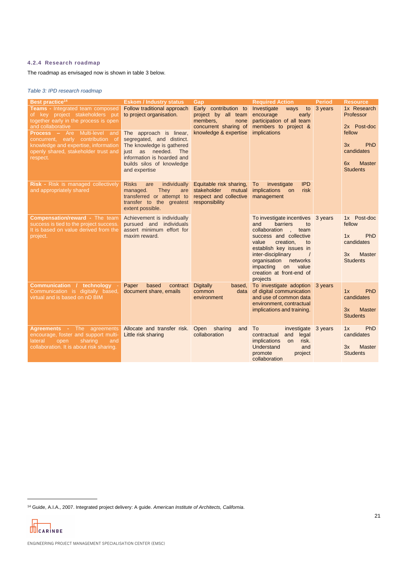ENGINEERING PROJECT MANAGEMENT SPECIALISATION CENTER (EMSC)

## <span id="page-20-1"></span><span id="page-20-0"></span>**4.2.4 Research roadmap**

The roadmap as envisaged now is shown in table 3 below.

## *Table 3: IPD research roadmap*

| Best practice <sup>14</sup>                                                                                                                                                            | <b>Eskom / Industry status</b>                                                                                                                                         | Gap                                                                                                                | <b>Required Action</b>                                                                                                                                                                                                                                                                                             | <b>Period</b> | <b>Resource</b>                                                                            |
|----------------------------------------------------------------------------------------------------------------------------------------------------------------------------------------|------------------------------------------------------------------------------------------------------------------------------------------------------------------------|--------------------------------------------------------------------------------------------------------------------|--------------------------------------------------------------------------------------------------------------------------------------------------------------------------------------------------------------------------------------------------------------------------------------------------------------------|---------------|--------------------------------------------------------------------------------------------|
| Teams - Integrated team composed<br>of key project stakeholders put<br>together early in the process is open<br>and collaborative<br><b>Multi-level</b><br><b>Process - Are</b><br>and | Follow traditional approach<br>to project organisation.<br>The approach is linear,                                                                                     | Early contribution to<br>project by all team<br>members,<br>none<br>concurrent sharing of<br>knowledge & expertise | Investigate<br>ways<br>to<br>encourage<br>early<br>participation of all team<br>members to project &<br>implications                                                                                                                                                                                               | 3 years       | 1x Research<br>Professor<br>2x Post-doc<br>fellow                                          |
| contribution of<br>early<br>concurrent,<br>knowledge and expertise, information<br>openly shared, stakeholder trust and<br>respect.                                                    | segregated, and distinct.<br>The knowledge is gathered<br>as needed.<br>just<br><b>The</b><br>information is hoarded and<br>builds silos of knowledge<br>and expertise |                                                                                                                    |                                                                                                                                                                                                                                                                                                                    |               | PhD<br>3x<br>candidates<br><b>Master</b><br>6x<br><b>Students</b>                          |
| Risk - Risk is managed collectively<br>and appropriately shared                                                                                                                        | <b>Risks</b><br>individually<br>are<br><b>They</b><br>managed.<br>are<br>transferred or attempt to<br>transfer to the greatest<br>extent possible.                     | Equitable risk sharing,<br>stakeholder<br>mutual<br>respect and collective<br>responsibility                       | investigate<br><b>IPD</b><br>To<br><i>implications</i><br>risk<br><b>On</b><br>management                                                                                                                                                                                                                          |               |                                                                                            |
| <b>Compensation/reward - The team</b><br>success is tied to the project success.<br>It is based on value derived from the<br>project.                                                  | Achievement is individually<br>pursued and individuals<br>assert minimum effort for<br>maxim reward.                                                                   |                                                                                                                    | To investigate incentives 3 years<br>and<br>barriers<br>to<br>collaboration<br>team<br>$\ddot{\phantom{a}}$<br>success and collective<br>value<br>creation,<br>to<br>establish key issues in<br>inter-disciplinary<br>organisation<br>networks<br>impacting<br>on<br>value<br>creation at front-end of<br>projects |               | 1x Post-doc<br>fellow<br>PhD<br>1x<br>candidates<br><b>Master</b><br>3x<br><b>Students</b> |
| <b>Communication / technology</b><br>Communication is digitally based,<br>virtual and is based on nD BIM                                                                               | based<br>Paper<br>contract<br>document share, emails                                                                                                                   | <b>Digitally</b><br>based,<br>data<br>common<br>environment                                                        | To investigate adoption<br>of digital communication<br>and use of common data<br>environment, contractual<br>implications and training.                                                                                                                                                                            | 3 years       | PhD<br>1x<br>candidates<br><b>Master</b><br>3x<br><b>Students</b>                          |
| <b>Agreements -</b> The agreements<br>encourage, foster and support multi-<br>lateral<br>open<br>sharing<br>and<br>collaboration. It is about risk sharing.                            | Allocate and transfer risk.<br>Little risk sharing                                                                                                                     | Open sharing<br>and<br>collaboration                                                                               | To<br>investigate 3 years<br>and<br>legal<br>contractual<br>risk.<br>implications<br>on<br>Understand<br>and<br>promote<br>project<br>collaboration                                                                                                                                                                |               | PhD<br>1x<br>candidates<br>3x<br><b>Master</b><br><b>Students</b>                          |

<sup>14</sup> Guide, A.I.A., 2007. Integrated project delivery: A guide. *American Institute of Architects, California*.

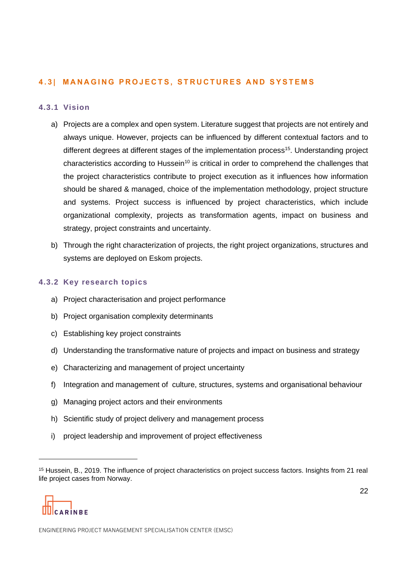## <span id="page-21-0"></span>**4 . 3 | M A N A G I N G P R O J E C T S , S T R U C T U R E S A N D S Y S T E M S**

#### <span id="page-21-1"></span>**4.3.1 Vision**

- a) Projects are a complex and open system. Literature suggest that projects are not entirely and always unique. However, projects can be influenced by different contextual factors and to different degrees at different stages of the implementation process<sup>15</sup>. Understanding project characteristics according to Hussein<sup>10</sup> is critical in order to comprehend the challenges that the project characteristics contribute to project execution as it influences how information should be shared & managed, choice of the implementation methodology, project structure and systems. Project success is influenced by project characteristics, which include organizational complexity, projects as transformation agents, impact on business and strategy, project constraints and uncertainty.
- b) Through the right characterization of projects, the right project organizations, structures and systems are deployed on Eskom projects.

#### <span id="page-21-2"></span>**4.3.2 Key research topics**

- a) Project characterisation and project performance
- b) Project organisation complexity determinants
- c) Establishing key project constraints
- d) Understanding the transformative nature of projects and impact on business and strategy
- e) Characterizing and management of project uncertainty
- f) Integration and management of culture, structures, systems and organisational behaviour
- g) Managing project actors and their environments
- h) Scientific study of project delivery and management process
- i) project leadership and improvement of project effectiveness

<sup>15</sup> Hussein, B., 2019. The influence of project characteristics on project success factors. Insights from 21 real life project cases from Norway.

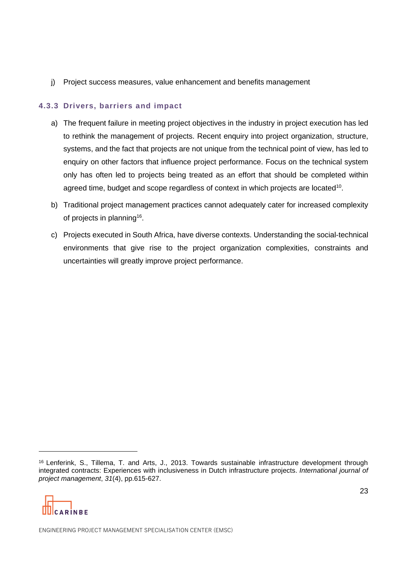j) Project success measures, value enhancement and benefits management

## <span id="page-22-0"></span>**4.3.3 Drivers, barriers and impact**

- a) The frequent failure in meeting project objectives in the industry in project execution has led to rethink the management of projects. Recent enquiry into project organization, structure, systems, and the fact that projects are not unique from the technical point of view, has led to enquiry on other factors that influence project performance. Focus on the technical system only has often led to projects being treated as an effort that should be completed within agreed time, budget and scope regardless of context in which projects are located $^{\text{10}}$ .
- b) Traditional project management practices cannot adequately cater for increased complexity of projects in planning<sup>16</sup>.
- c) Projects executed in South Africa, have diverse contexts. Understanding the social-technical environments that give rise to the project organization complexities, constraints and uncertainties will greatly improve project performance.

<sup>16</sup> Lenferink, S., Tillema, T. and Arts, J., 2013. Towards sustainable infrastructure development through integrated contracts: Experiences with inclusiveness in Dutch infrastructure projects. *International journal of project management*, *31*(4), pp.615-627.

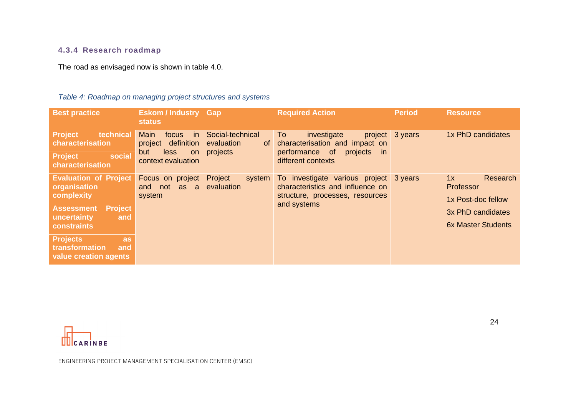## **4.3.4 Research roadmap**

The road as envisaged now is shown in table 4.0.

<span id="page-23-0"></span>

| <b>Best practice</b>                                                    | <b>Eskom/Industry Gap</b><br><b>status</b>                         |                                                                                                                                                  | <b>Required Action</b>                              | <b>Period</b>                                            | <b>Resource</b>           |
|-------------------------------------------------------------------------|--------------------------------------------------------------------|--------------------------------------------------------------------------------------------------------------------------------------------------|-----------------------------------------------------|----------------------------------------------------------|---------------------------|
| <b>Project</b><br>technical<br>characterisation                         | <b>Main</b><br><i>in</i><br>focus<br>definition<br>project<br>less | Social-technical<br>evaluation<br>of.                                                                                                            | To<br>investigate<br>characterisation and impact on | project 3 years                                          | 1x PhD candidates         |
| social<br><b>Project</b><br>characterisation                            | <b>on</b><br>but<br>context evaluation                             | projects<br>performance of<br>projects<br>- in<br>different contexts                                                                             |                                                     |                                                          |                           |
| <b>Evaluation of Project</b><br>organisation<br>complexity              | Focus on project<br>and not as<br>a<br>system                      | To investigate various project 3 years<br>Project<br>system<br>characteristics and influence on<br>evaluation<br>structure, processes, resources |                                                     | Research<br>1x<br><b>Professor</b><br>1x Post-doc fellow |                           |
| <b>Project</b><br><b>Assessment</b><br>uncertainty<br>and               |                                                                    |                                                                                                                                                  | and systems                                         |                                                          | 3x PhD candidates         |
| constraints                                                             |                                                                    |                                                                                                                                                  |                                                     |                                                          | <b>6x Master Students</b> |
| <b>Projects</b><br>as<br>transformation<br>and<br>value creation agents |                                                                    |                                                                                                                                                  |                                                     |                                                          |                           |

## *Table 4: Roadmap on managing project structures and systems*

<span id="page-23-1"></span>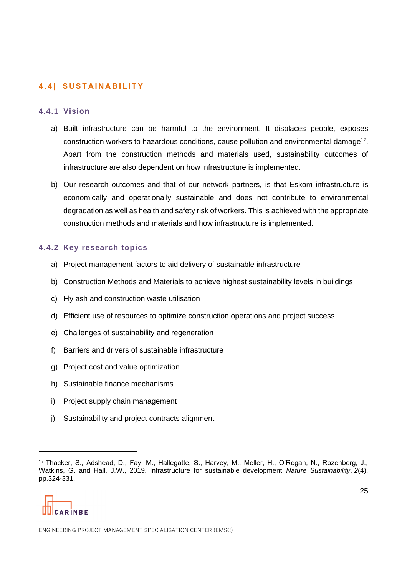## <span id="page-24-0"></span>**4 . 4 | S U S T A I N A B I L I T Y**

#### <span id="page-24-1"></span>**4.4.1 Vision**

- a) Built infrastructure can be harmful to the environment. It displaces people, exposes construction workers to hazardous conditions, cause pollution and environmental damage<sup>17</sup>. Apart from the construction methods and materials used, sustainability outcomes of infrastructure are also dependent on how infrastructure is implemented.
- b) Our research outcomes and that of our network partners, is that Eskom infrastructure is economically and operationally sustainable and does not contribute to environmental degradation as well as health and safety risk of workers. This is achieved with the appropriate construction methods and materials and how infrastructure is implemented.

#### <span id="page-24-2"></span>**4.4.2 Key research topics**

- a) Project management factors to aid delivery of sustainable infrastructure
- b) Construction Methods and Materials to achieve highest sustainability levels in buildings
- c) Fly ash and construction waste utilisation
- d) Efficient use of resources to optimize construction operations and project success
- e) Challenges of sustainability and regeneration
- f) Barriers and drivers of sustainable infrastructure
- g) Project cost and value optimization
- h) Sustainable finance mechanisms
- i) Project supply chain management
- j) Sustainability and project contracts alignment

<sup>17</sup> Thacker, S., Adshead, D., Fay, M., Hallegatte, S., Harvey, M., Meller, H., O'Regan, N., Rozenberg, J., Watkins, G. and Hall, J.W., 2019. Infrastructure for sustainable development. *Nature Sustainability*, *2*(4), pp.324-331.

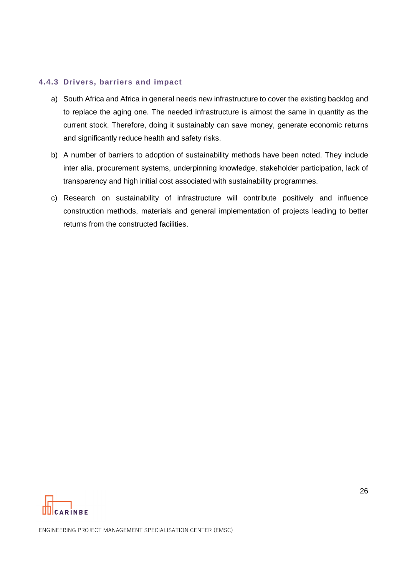#### <span id="page-25-0"></span>**4.4.3 Drivers, barriers and impact**

- a) South Africa and Africa in general needs new infrastructure to cover the existing backlog and to replace the aging one. The needed infrastructure is almost the same in quantity as the current stock. Therefore, doing it sustainably can save money, generate economic returns and significantly reduce health and safety risks.
- b) A number of barriers to adoption of sustainability methods have been noted. They include inter alia, procurement systems, underpinning knowledge, stakeholder participation, lack of transparency and high initial cost associated with sustainability programmes.
- c) Research on sustainability of infrastructure will contribute positively and influence construction methods, materials and general implementation of projects leading to better returns from the constructed facilities.

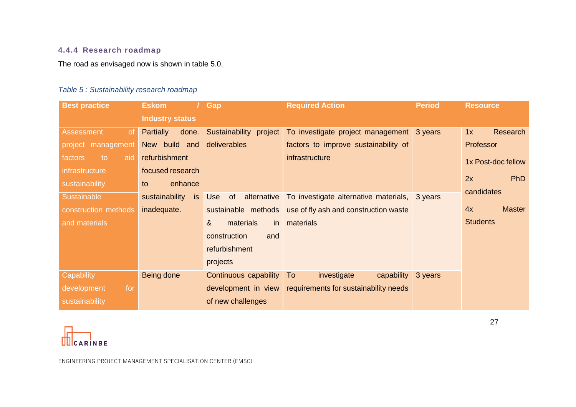## **4.4.4 Research roadmap**

The road as envisaged now is shown in table 5.0.

#### *Table 5 : Sustainability research roadmap*

<span id="page-26-0"></span>

| <b>Best practice</b>           | <b>Eskom</b>              | Gap                      | <b>Required Action</b>                                           | <b>Period</b> | <b>Resource</b>     |
|--------------------------------|---------------------------|--------------------------|------------------------------------------------------------------|---------------|---------------------|
|                                | <b>Industry status</b>    |                          |                                                                  |               |                     |
| <b>Assessment</b><br><b>of</b> | <b>Partially</b><br>done. | Sustainability project   | To investigate project management                                | 3 years       | Research<br>1x      |
| project management             | New build and             | deliverables             | factors to improve sustainability of                             |               | Professor           |
| aid<br>factors<br>to           | refurbishment             |                          | infrastructure                                                   |               | 1x Post-doc fellow  |
| infrastructure                 | focused research          |                          |                                                                  |               |                     |
| sustainability                 | enhance<br>to             |                          |                                                                  |               | PhD<br>2x           |
| Sustainable                    | sustainability<br>is      |                          | Use of alternative To investigate alternative materials, 3 years |               | candidates          |
| construction methods           | inadequate.               |                          | sustainable methods use of fly ash and construction waste        |               | <b>Master</b><br>4x |
| and materials                  |                           | &<br>materials<br>in     | materials                                                        |               | <b>Students</b>     |
|                                |                           | construction<br>and      |                                                                  |               |                     |
|                                |                           | <b>refurbishment</b>     |                                                                  |               |                     |
|                                |                           | projects                 |                                                                  |               |                     |
| Capability                     | Being done                | Continuous capability To | investigate<br>capability                                        | 3 years       |                     |
| for<br>development             |                           |                          | development in view requirements for sustainability needs        |               |                     |
| sustainability                 |                           | of new challenges        |                                                                  |               |                     |

<span id="page-26-1"></span>

ENGINEERING PROJECT MANAGEMENT SPECIALISATION CENTER (EMSC)

27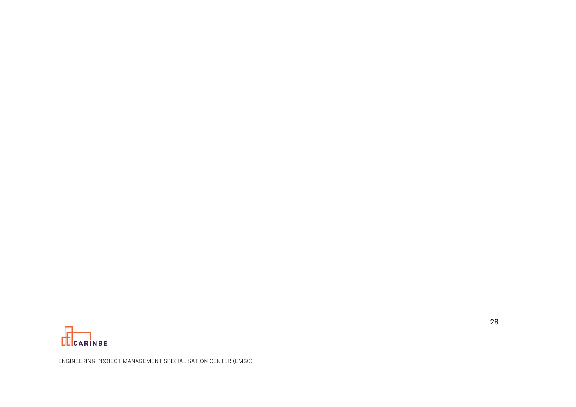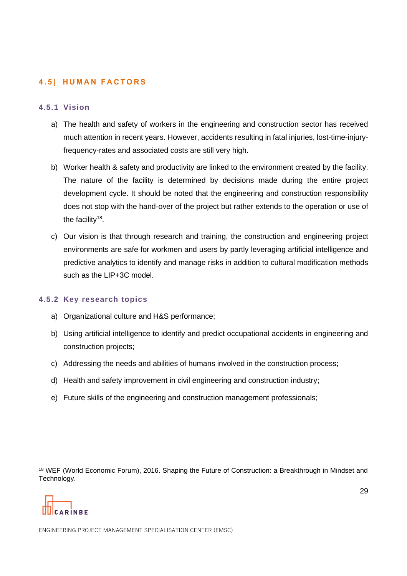## <span id="page-28-0"></span>**4 . 5 | H U M A N F A C T O R S**

#### <span id="page-28-1"></span>**4.5.1 Vision**

- a) The health and safety of workers in the engineering and construction sector has received much attention in recent years. However, accidents resulting in fatal injuries, lost-time-injuryfrequency-rates and associated costs are still very high.
- b) Worker health & safety and productivity are linked to the environment created by the facility. The nature of the facility is determined by decisions made during the entire project development cycle. It should be noted that the engineering and construction responsibility does not stop with the hand-over of the project but rather extends to the operation or use of the facility<sup>18</sup>.
- c) Our vision is that through research and training, the construction and engineering project environments are safe for workmen and users by partly leveraging artificial intelligence and predictive analytics to identify and manage risks in addition to cultural modification methods such as the LIP+3C model.

#### <span id="page-28-2"></span>**4.5.2 Key research topics**

- a) Organizational culture and H&S performance;
- b) Using artificial intelligence to identify and predict occupational accidents in engineering and construction projects;
- c) Addressing the needs and abilities of humans involved in the construction process;
- d) Health and safety improvement in civil engineering and construction industry;
- e) Future skills of the engineering and construction management professionals;

<sup>18</sup> WEF (World Economic Forum), 2016. Shaping the Future of Construction: a Breakthrough in Mindset and Technology.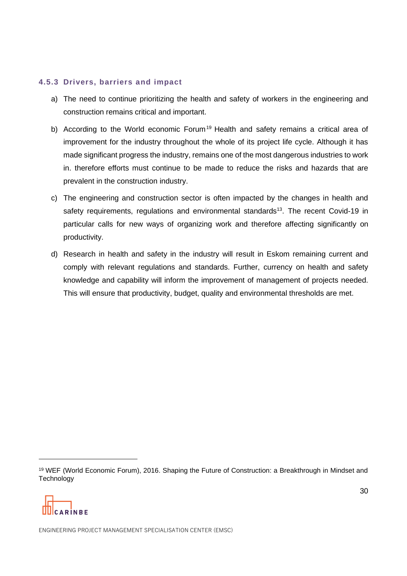#### <span id="page-29-0"></span>**4.5.3 Drivers, barriers and impact**

- a) The need to continue prioritizing the health and safety of workers in the engineering and construction remains critical and important.
- b) According to the World economic Forum<sup>19</sup> Health and safety remains a critical area of improvement for the industry throughout the whole of its project life cycle. Although it has made significant progress the industry, remains one of the most dangerous industries to work in. therefore efforts must continue to be made to reduce the risks and hazards that are prevalent in the construction industry.
- c) The engineering and construction sector is often impacted by the changes in health and safety requirements, regulations and environmental standards<sup>13</sup>. The recent Covid-19 in particular calls for new ways of organizing work and therefore affecting significantly on productivity.
- d) Research in health and safety in the industry will result in Eskom remaining current and comply with relevant regulations and standards. Further, currency on health and safety knowledge and capability will inform the improvement of management of projects needed. This will ensure that productivity, budget, quality and environmental thresholds are met.

<sup>19</sup> WEF (World Economic Forum), 2016. Shaping the Future of Construction: a Breakthrough in Mindset and **Technology**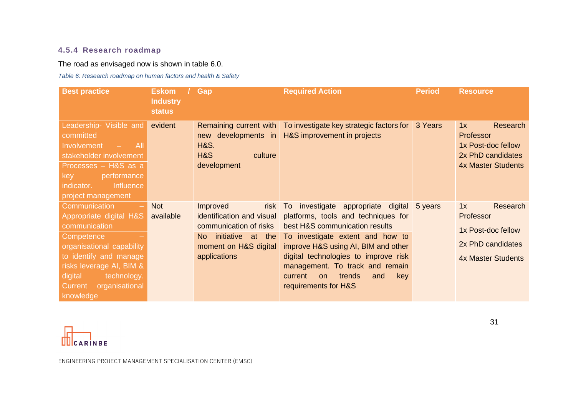## **4.5.4 Research roadmap**

## The road as envisaged now is shown in table 6.0.

*Table 6: Research roadmap on human factors and health & Safety*

| <b>Best practice</b>                                                                                                                                                                                                                  | <b>Eskom</b><br><b>Industry</b><br><b>status</b> | / Gap                                                                                                                                           | <b>Required Action</b>                                                                                                                                                                                                                                                                                                                 | <b>Period</b> | <b>Resource</b>                                                                                     |
|---------------------------------------------------------------------------------------------------------------------------------------------------------------------------------------------------------------------------------------|--------------------------------------------------|-------------------------------------------------------------------------------------------------------------------------------------------------|----------------------------------------------------------------------------------------------------------------------------------------------------------------------------------------------------------------------------------------------------------------------------------------------------------------------------------------|---------------|-----------------------------------------------------------------------------------------------------|
| Leadership- Visible and<br>committed<br>All<br>Involvement<br>$\sim$<br>stakeholder involvement<br>Processes - H&S as a<br>performance<br>key<br><b>Influence</b><br>indicator.<br>project management                                 | evident                                          | Remaining current with<br>new developments in<br><b>H&amp;S.</b><br>H&S<br>culture<br>development                                               | To investigate key strategic factors for<br>H&S improvement in projects                                                                                                                                                                                                                                                                | 3 Years       | Research<br>1x<br>Professor<br>1x Post-doc fellow<br>2x PhD candidates<br><b>4x Master Students</b> |
| Communication<br>Appropriate digital H&S<br>communication<br>Competence<br>organisational capability<br>to identify and manage<br>risks leverage AI, BIM &<br>technology.<br>digital<br><b>Current</b><br>organisational<br>knowledge | <b>Not</b><br>available                          | Improved<br>risk<br>identification and visual<br>communication of risks<br>initiative<br>at the<br>No.<br>moment on H&S digital<br>applications | investigate appropriate digital<br>To<br>platforms, tools and techniques for<br>best H&S communication results<br>To investigate extent and how to<br>improve H&S using AI, BIM and other<br>digital technologies to improve risk<br>management. To track and remain<br>trends<br>key<br>current<br>and<br>on.<br>requirements for H&S | 5 years       | Research<br>1x<br>Professor<br>1x Post-doc fellow<br>2x PhD candidates<br><b>4x Master Students</b> |

<span id="page-30-1"></span><span id="page-30-0"></span>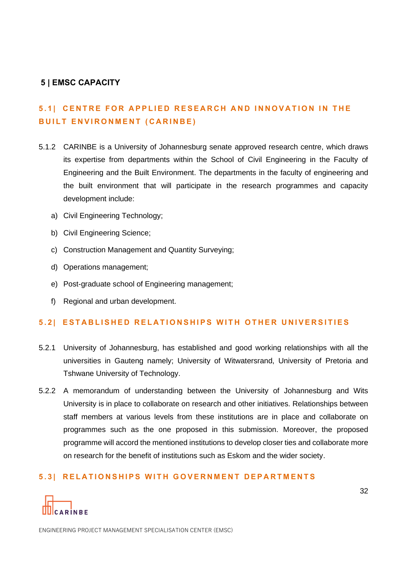## <span id="page-31-0"></span>**5 | EMSC CAPACITY**

# <span id="page-31-1"></span>**5.1| CENTRE FOR APPLIED RESEARCH AND INNOVATION IN THE BUILT ENVIRONMENT (CARINBE)**

- 5.1.2 CARINBE is a University of Johannesburg senate approved research centre, which draws its expertise from departments within the School of Civil Engineering in the Faculty of Engineering and the Built Environment. The departments in the faculty of engineering and the built environment that will participate in the research programmes and capacity development include:
	- a) Civil Engineering Technology;
	- b) Civil Engineering Science;
	- c) Construction Management and Quantity Surveying;
	- d) Operations management;
	- e) Post-graduate school of Engineering management;
	- f) Regional and urban development.

#### <span id="page-31-2"></span>**5 . 2 | E S T A B L I S H E D R E L A T I O N S H I P S W I T H O T H E R U N I V E R S I T I E S**

- 5.2.1 University of Johannesburg, has established and good working relationships with all the universities in Gauteng namely; University of Witwatersrand, University of Pretoria and Tshwane University of Technology.
- 5.2.2 A memorandum of understanding between the University of Johannesburg and Wits University is in place to collaborate on research and other initiatives. Relationships between staff members at various levels from these institutions are in place and collaborate on programmes such as the one proposed in this submission. Moreover, the proposed programme will accord the mentioned institutions to develop closer ties and collaborate more on research for the benefit of institutions such as Eskom and the wider society.

#### <span id="page-31-3"></span>**5.3| RELATIONSHIPS WITH GOVERNMENT DEPARTMENTS**

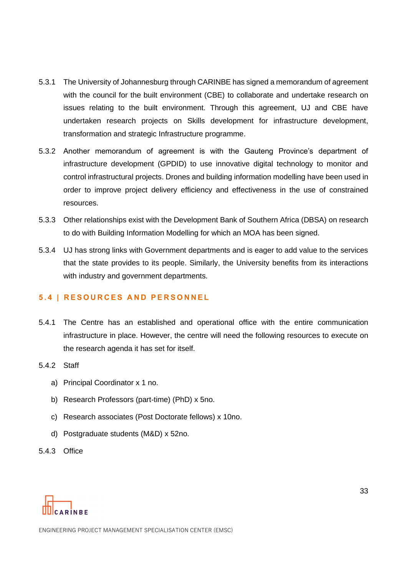- 5.3.1 The University of Johannesburg through CARINBE has signed a memorandum of agreement with the council for the built environment (CBE) to collaborate and undertake research on issues relating to the built environment. Through this agreement, UJ and CBE have undertaken research projects on Skills development for infrastructure development, transformation and strategic Infrastructure programme.
- 5.3.2 Another memorandum of agreement is with the Gauteng Province's department of infrastructure development (GPDID) to use innovative digital technology to monitor and control infrastructural projects. Drones and building information modelling have been used in order to improve project delivery efficiency and effectiveness in the use of constrained resources.
- 5.3.3 Other relationships exist with the Development Bank of Southern Africa (DBSA) on research to do with Building Information Modelling for which an MOA has been signed.
- 5.3.4 UJ has strong links with Government departments and is eager to add value to the services that the state provides to its people. Similarly, the University benefits from its interactions with industry and government departments.

#### <span id="page-32-0"></span>**5 . 4 | R E S O U R C E S A N D P E R S O N N E L**

- 5.4.1 The Centre has an established and operational office with the entire communication infrastructure in place. However, the centre will need the following resources to execute on the research agenda it has set for itself.
- 5.4.2 Staff
	- a) Principal Coordinator x 1 no.
	- b) Research Professors (part-time) (PhD) x 5no.
	- c) Research associates (Post Doctorate fellows) x 10no.
	- d) Postgraduate students (M&D) x 52no.
- 5.4.3 Office

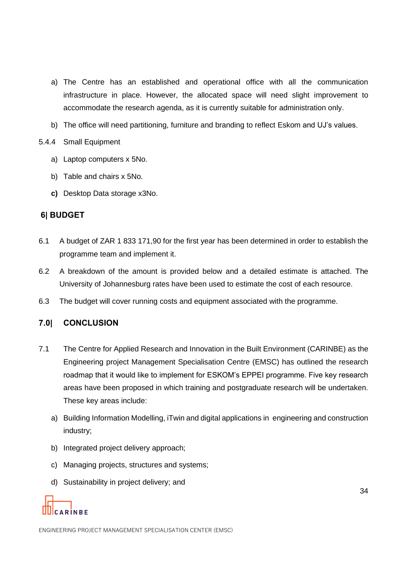- a) The Centre has an established and operational office with all the communication infrastructure in place. However, the allocated space will need slight improvement to accommodate the research agenda, as it is currently suitable for administration only.
- b) The office will need partitioning, furniture and branding to reflect Eskom and UJ's values.

#### 5.4.4 Small Equipment

- a) Laptop computers x 5No.
- b) Table and chairs x 5No.
- **c)** Desktop Data storage x3No.

## <span id="page-33-0"></span>**6| BUDGET**

- 6.1 A budget of ZAR 1 833 171,90 for the first year has been determined in order to establish the programme team and implement it.
- 6.2 A breakdown of the amount is provided below and a detailed estimate is attached. The University of Johannesburg rates have been used to estimate the cost of each resource.
- 6.3 The budget will cover running costs and equipment associated with the programme.

## <span id="page-33-1"></span>**7.0| CONCLUSION**

- 7.1 The Centre for Applied Research and Innovation in the Built Environment (CARINBE) as the Engineering project Management Specialisation Centre (EMSC) has outlined the research roadmap that it would like to implement for ESKOM's EPPEI programme. Five key research areas have been proposed in which training and postgraduate research will be undertaken. These key areas include:
	- a) Building Information Modelling, iTwin and digital applications in engineering and construction industry;
	- b) Integrated project delivery approach;
	- c) Managing projects, structures and systems;
	- d) Sustainability in project delivery; and

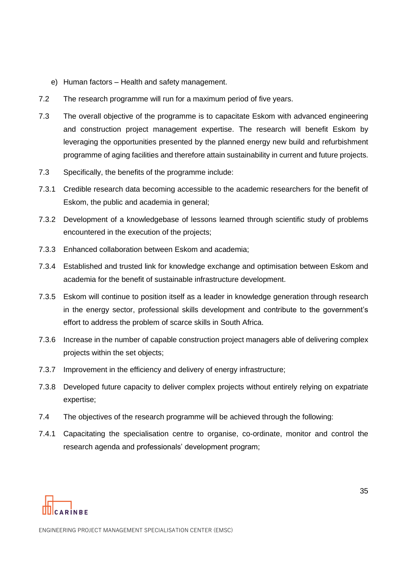- e) Human factors Health and safety management.
- 7.2 The research programme will run for a maximum period of five years.
- 7.3 The overall objective of the programme is to capacitate Eskom with advanced engineering and construction project management expertise. The research will benefit Eskom by leveraging the opportunities presented by the planned energy new build and refurbishment programme of aging facilities and therefore attain sustainability in current and future projects.
- 7.3 Specifically, the benefits of the programme include:
- 7.3.1 Credible research data becoming accessible to the academic researchers for the benefit of Eskom, the public and academia in general;
- 7.3.2 Development of a knowledgebase of lessons learned through scientific study of problems encountered in the execution of the projects;
- 7.3.3 Enhanced collaboration between Eskom and academia;
- 7.3.4 Established and trusted link for knowledge exchange and optimisation between Eskom and academia for the benefit of sustainable infrastructure development.
- 7.3.5 Eskom will continue to position itself as a leader in knowledge generation through research in the energy sector, professional skills development and contribute to the government's effort to address the problem of scarce skills in South Africa.
- 7.3.6 Increase in the number of capable construction project managers able of delivering complex projects within the set objects;
- 7.3.7 Improvement in the efficiency and delivery of energy infrastructure;
- 7.3.8 Developed future capacity to deliver complex projects without entirely relying on expatriate expertise;
- 7.4 The objectives of the research programme will be achieved through the following:
- 7.4.1 Capacitating the specialisation centre to organise, co-ordinate, monitor and control the research agenda and professionals' development program;

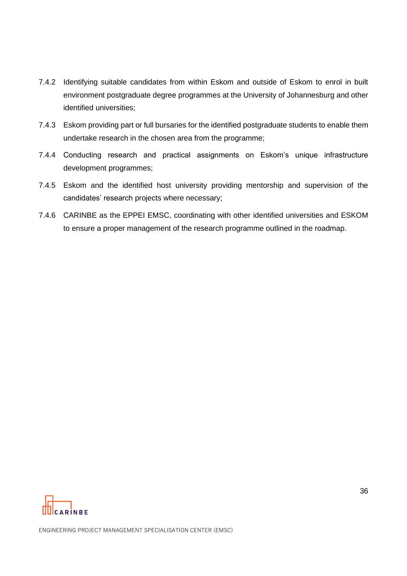- 7.4.2 Identifying suitable candidates from within Eskom and outside of Eskom to enrol in built environment postgraduate degree programmes at the University of Johannesburg and other identified universities;
- 7.4.3 Eskom providing part or full bursaries for the identified postgraduate students to enable them undertake research in the chosen area from the programme;
- 7.4.4 Conducting research and practical assignments on Eskom's unique infrastructure development programmes;
- 7.4.5 Eskom and the identified host university providing mentorship and supervision of the candidates' research projects where necessary;
- 7.4.6 CARINBE as the EPPEI EMSC, coordinating with other identified universities and ESKOM to ensure a proper management of the research programme outlined in the roadmap.

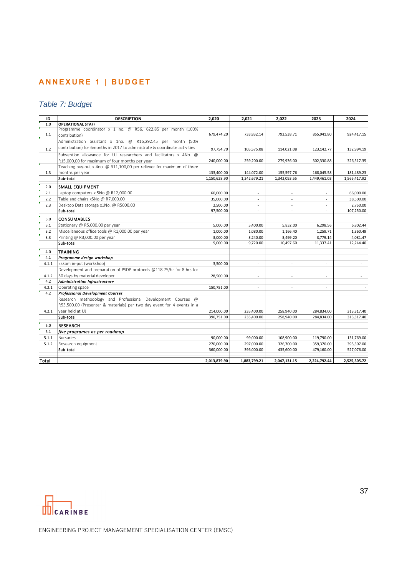# <span id="page-36-0"></span>**A N N E X U R E 1 | B U D G E T**

# <span id="page-36-1"></span>*Table 7: Budget*

| ID    | <b>DESCRIPTION</b>                                                        | 2.020        | 2.021                    | 2.022                    | 2023                     | 2024         |
|-------|---------------------------------------------------------------------------|--------------|--------------------------|--------------------------|--------------------------|--------------|
| 1.0   | <b>OPERATIONAL STAFF</b>                                                  |              |                          |                          |                          |              |
|       | Programme coordinator x 1 no. @ R56, 622.85 per month (100%               |              |                          |                          |                          |              |
| 1.1   | contribution)                                                             | 679,474.20   | 733,832.14               | 792,538.71               | 855,941.80               | 924,417.15   |
|       | Administration assistant x 1no. @ R16,292.45 per month (50%)              |              |                          |                          |                          |              |
| 1.2   | contribution) for 6months in 2017 to administrate & coordinate activities | 97,754.70    | 105,575.08               | 114,021.08               | 123,142.77               | 132,994.19   |
|       | Subvention allowance for UJ researchers and facilitators x 4No. @         |              |                          |                          |                          |              |
|       | R15,000,00 for maximum of four months per year                            | 240,000.00   | 259,200.00               | 279,936.00               | 302,330.88               | 326,517.35   |
|       | Teaching buy-out x 4no. @ R11,100,00 per reliever for maximum of three    |              |                          |                          |                          |              |
| 1.3   | months per year                                                           | 133,400.00   | 144,072.00               | 155,597.76               | 168,045.58               | 181,489.23   |
|       | Sub-total                                                                 | 1,150,628.90 | 1,242,679.21             | 1,342,093.55             | 1,449,461.03             | 1,565,417.92 |
| 2.0   | <b>SMALL EQUIPMENT</b>                                                    |              |                          |                          |                          |              |
| 2.1   | Laptop computers x 5No.@ R12,000.00                                       | 60,000.00    | ÷.                       | ÷.                       | ÷                        | 66,000.00    |
| 2.2   | Table and chairs x5No @ R7,000.00                                         | 35,000.00    | ×.                       | ÷                        | ÷                        | 38,500.00    |
| 2.3   | Desktop Data storage x1No. @ R5000.00                                     | 2,500.00     |                          | ÷,                       |                          | 2,750.00     |
|       | Sub-total                                                                 | 97,500.00    | $\sim$                   | ÷.                       |                          | 107,250.00   |
| 3.0   | <b>CONSUMABLES</b>                                                        |              |                          |                          |                          |              |
| 3.1   | Stationery @ R5,000.00 per year                                           | 5,000.00     | 5,400.00                 | 5,832.00                 | 6,298.56                 | 6,802.44     |
| 3.2   | Miscellaneous office tools @ R1,000.00 per year                           | 1,000.00     | 1,080.00                 | 1,166.40                 | 1,259.71                 | 1,360.49     |
| 3.3   | Printing @ R3,000.00 per year                                             | 3,000.00     | 3,240.00                 | 3,499.20                 | 3,779.14                 | 4,081.47     |
|       | Sub-total                                                                 | 9,000.00     | 9,720.00                 | 10,497.60                | 11,337.41                | 12,244.40    |
| 4.0   | <b>TRAINING</b>                                                           |              |                          |                          |                          |              |
| 4.1   | Programme design workshop                                                 |              |                          |                          |                          |              |
| 4.1.1 | Eskom in-put (workshop)                                                   | 3.500.00     |                          | L.                       | ÷                        |              |
|       | Development and preparation of PSDP protocols @118.75/hr for 8 hrs for    |              |                          |                          |                          |              |
| 4.1.2 | 30 days by material developer                                             | 28,500.00    | $\overline{\phantom{a}}$ | $\overline{\phantom{a}}$ | $\overline{\phantom{a}}$ |              |
| 4.2   | Administration Infrastructure                                             |              |                          |                          |                          |              |
| 4.2.1 | Operating space                                                           | 150,751.00   | ×.                       | ÷                        | $\sim$                   |              |
| 4.2   | <b>Professional Development Courses</b>                                   |              |                          |                          |                          |              |
|       | Research methodology and Professional Development Courses @               |              |                          |                          |                          |              |
|       | R53,500.00 (Presenter & materials) per two day event for 4 events in a    |              |                          |                          |                          |              |
| 4.2.1 | year held at UJ                                                           | 214,000.00   | 235,400.00               | 258,940.00               | 284,834.00               | 313,317.40   |
|       | Sub-total                                                                 | 396,751.00   | 235,400.00               | 258,940.00               | 284,834.00               | 313,317.40   |
| 5.0   | <b>RESEARCH</b>                                                           |              |                          |                          |                          |              |
| 5.1   | five programes as per roadmap                                             |              |                          |                          |                          |              |
| 5.1.1 | <b>Bursaries</b>                                                          | 90.000.00    | 99,000.00                | 108,900.00               | 119,790.00               | 131,769.00   |
| 5.1.2 | Research equipment                                                        | 270,000.00   | 297,000.00               | 326,700.00               | 359,370.00               | 395,307.00   |
|       | Sub-total                                                                 | 360,000.00   | 396,000.00               | 435,600.00               | 479,160.00               | 527,076.00   |
|       |                                                                           |              |                          |                          |                          |              |
| Total |                                                                           | 2,013,879.90 | 1,883,799.21             | 2,047,131.15             | 2,224,792.44             | 2,525,305.72 |